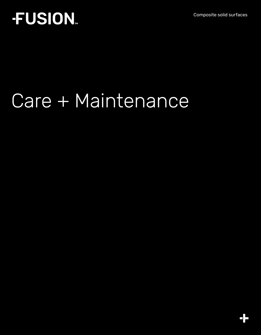Composite solid surfaces

## **FUSION.**

# Care + Maintenance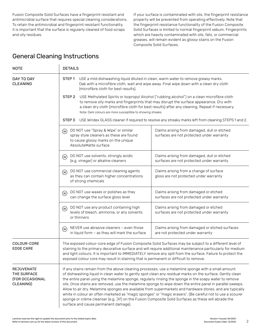Fusion Composite Solid Surfaces have a fingerprint resistant and antimicrobial surface that requires special cleaning considerations. To retain the antimicrobial and fingerprint resistant functionality, it is important that the surface is regularly cleaned of food scraps and oily residues.

If your surface is contaminated with oils, the fingerprint resistance property will be prevented from operating effectively. Note that the fingerprint resistance functionality of the Fusion Composite Solid Surfaces is limited to normal fingerprint sebum. Fingerprints which are heavily contaminated with oils, fats, or commercial greases, will remain evident as glossy stains on the Fusion Composite Solid Surfaces.

#### General Cleaning Instructions

| <b>NOTE</b>                                                             | <b>DETAILS</b>                                                                                                                                                                                                                                                                                                                                                                                                                                                                                                                                                                                                                                                                                                                                                                                               |                                                                                                                                                                                                                                                                                                                                                                                                                             |  |  |
|-------------------------------------------------------------------------|--------------------------------------------------------------------------------------------------------------------------------------------------------------------------------------------------------------------------------------------------------------------------------------------------------------------------------------------------------------------------------------------------------------------------------------------------------------------------------------------------------------------------------------------------------------------------------------------------------------------------------------------------------------------------------------------------------------------------------------------------------------------------------------------------------------|-----------------------------------------------------------------------------------------------------------------------------------------------------------------------------------------------------------------------------------------------------------------------------------------------------------------------------------------------------------------------------------------------------------------------------|--|--|
| DAY TO DAY<br><b>CLEANING</b>                                           | STEP <sub>1</sub><br>(microfibre cloth for best results).                                                                                                                                                                                                                                                                                                                                                                                                                                                                                                                                                                                                                                                                                                                                                    | USE a mild dishwashing liquid diluted in clean, warm water to remove greasy marks.<br>Dab with a microfibre cloth, wait and wipe away. Final wipe down with a clean dry cloth                                                                                                                                                                                                                                               |  |  |
|                                                                         | STEP <sub>2</sub>                                                                                                                                                                                                                                                                                                                                                                                                                                                                                                                                                                                                                                                                                                                                                                                            | USE Methylated Spirits or Isopropyl Alcohol ("rubbing alcohol") on a clean microfibre cloth<br>to remove oily marks and fingerprints that may disrupt the surface appearance. Dry with<br>a clean dry cloth (microfibre cloth for best results) after any cleaning. Repeat if necessary.<br>Note: Dark colours are more susceptible to showing streaks.                                                                     |  |  |
|                                                                         | STEP <sub>3</sub><br>USE Windex GLASS cleaner if required to resolve any streaky marks left from cleaning STEPS 1 and 2.                                                                                                                                                                                                                                                                                                                                                                                                                                                                                                                                                                                                                                                                                     |                                                                                                                                                                                                                                                                                                                                                                                                                             |  |  |
|                                                                         | DO NOT use "Spray & Wipe" or similar<br>(w)<br>spray style cleaners as these are found<br>to cause glossy marks on the unique<br>AbsoluteMatte surface                                                                                                                                                                                                                                                                                                                                                                                                                                                                                                                                                                                                                                                       | Claims arising from damaged, dull or etched<br>surfaces are not protected under warranty                                                                                                                                                                                                                                                                                                                                    |  |  |
|                                                                         | DO NOT use solvents, strongly acidic<br>(w)<br>(e.g. vinegar) or alkaline cleaners                                                                                                                                                                                                                                                                                                                                                                                                                                                                                                                                                                                                                                                                                                                           | Claims arising from damaged, dull or etched<br>surfaces are not protected under warranty                                                                                                                                                                                                                                                                                                                                    |  |  |
|                                                                         | DO NOT use commercial cleaning agents<br>$(\mathsf{w})$<br>as they can contain higher concentrations<br>of strong chemicals                                                                                                                                                                                                                                                                                                                                                                                                                                                                                                                                                                                                                                                                                  | Claims arising from a change of surface<br>gloss are not protected under warranty                                                                                                                                                                                                                                                                                                                                           |  |  |
|                                                                         | DO NOT use waxes or polishes as they<br>$\left(\overline{w}\right)$<br>can change the surface gloss level                                                                                                                                                                                                                                                                                                                                                                                                                                                                                                                                                                                                                                                                                                    | Claims arising from damaged or etched<br>surfaces are not protected under warranty                                                                                                                                                                                                                                                                                                                                          |  |  |
|                                                                         | DO NOT use any product containing high<br>(w)<br>levels of bleach, ammonia, or any solvents<br>or thinners                                                                                                                                                                                                                                                                                                                                                                                                                                                                                                                                                                                                                                                                                                   | Claims arising from damaged or etched<br>surfaces are not protected under warranty                                                                                                                                                                                                                                                                                                                                          |  |  |
|                                                                         | NEVER use abrasive cleaners - even those<br>$\left(\mathsf{w}\right)$<br>in liquid form - as they will mark the surface                                                                                                                                                                                                                                                                                                                                                                                                                                                                                                                                                                                                                                                                                      | Claims arising from damaged or etched surfaces<br>are not protected under warranty                                                                                                                                                                                                                                                                                                                                          |  |  |
| COLOUR-CORE<br><b>EDGE CARE</b>                                         |                                                                                                                                                                                                                                                                                                                                                                                                                                                                                                                                                                                                                                                                                                                                                                                                              | The exposed colour-core edge of Fusion Composite Solid Surfaces may be subject to a different level of<br>staining to the primary decorative surface and will require additional maintenance particularly for medium<br>and light colours. It is important to IMMEDIATELY remove any spill from the surface. Failure to protect the<br>exposed colour core may result in staining that is permanent or difficult to remove. |  |  |
| <b>REJUVENATE</b><br>THE SURFACE<br><b>(FOR OCCASIONAL</b><br>CLEANING) | If any stains remain from the above cleaning processes, use a melamine sponge with a small amount<br>of dishwashing liquid in clean water to gently spot clean any residual marks on the surface. Gently clean<br>the entire panel using the melamine sponge, regularly rinsing the sponge in the soapy water to remove<br>oils. Once stains are removed, use the melamine sponge to wipe down the entire panel in parallel sweeps.<br>Allow to air dry. Melamine sponges are available from supermarkets and hardware stores, and are typically<br>white in colour an often marketed as "magic sponges" or "magic erasers". (Be careful not to use a scourer<br>sponge or crème cleanser (e.g. Jif) on the Fusion Composite Solid Surfaces as these will abrade the<br>surface and cause permanent damage). |                                                                                                                                                                                                                                                                                                                                                                                                                             |  |  |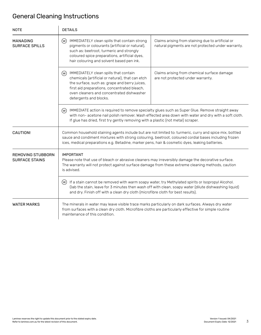### General Cleaning Instructions

| <b>NOTE</b>                                | <b>DETAILS</b>                                                                                                                                                                                                                                                                                                      |                                                                                                         |  |
|--------------------------------------------|---------------------------------------------------------------------------------------------------------------------------------------------------------------------------------------------------------------------------------------------------------------------------------------------------------------------|---------------------------------------------------------------------------------------------------------|--|
| MANAGING<br><b>SURFACE SPILLS</b>          | IMMEDIATELY clean spills that contain strong<br>(w)<br>pigments or colourants (artificial or natural),<br>such as: beetroot, turmeric and strongly<br>coloured spice preparations, artificial dyes,<br>hair colouring and solvent based pen ink.                                                                    | Claims arising from staining due to artificial or<br>natural pigments are not protected under warranty. |  |
|                                            | IMMEDIATELY clean spills that contain<br>(w)<br>chemicals (artificial or natural), that can etch<br>the surface, such as: grape and berry juices,<br>first aid preparations, concentrated bleach,<br>oven cleaners and concentrated dishwasher<br>detergents and blocks.                                            | Claims arising from chemical surface damage<br>are not protected under warranty.                        |  |
|                                            | IMMEDIATE action is required to remove specialty glues such as Super Glue. Remove straight away<br>(w)<br>with non- acetone nail polish remover. Wash effected area down with water and dry with a soft cloth.<br>If glue has dried, first try gently removing with a plastic (not metal) scraper.                  |                                                                                                         |  |
| CAUTION!                                   | Common household staining agents include but are not limited to: turmeric, curry and spice mix, bottled<br>sauce and condiment mixtures with strong colouring, beetroot, coloured cordial bases including frozen<br>ices, medical preparations e.g. Betadine, marker pens, hair & cosmetic dyes, leaking batteries. |                                                                                                         |  |
| REMOVING STUBBORN<br><b>SURFACE STAINS</b> | <b>IMPORTANT</b><br>Please note that use of bleach or abrasive cleaners may irreversibly damage the decorative surface.<br>The warranty will not protect against surface damage from these extreme cleaning methods, caution<br>is advised.                                                                         |                                                                                                         |  |
|                                            | If a stain cannot be removed with warm soapy water, try Methylated spirits or Isopropyl Alcohol.<br>(w)<br>Dab the stain, leave for 3 minutes then wash off with clean, soapy water (dilute dishwashing liquid)<br>and dry. Finish off with a clean dry cloth (microfibre cloth for best results).                  |                                                                                                         |  |
| <b>WATER MARKS</b>                         | The minerals in water may leave visible trace marks particularly on dark surfaces. Always dry water<br>from surfaces with a clean dry cloth. Microfibre cloths are particularly effective for simple routine<br>maintenance of this condition.                                                                      |                                                                                                         |  |